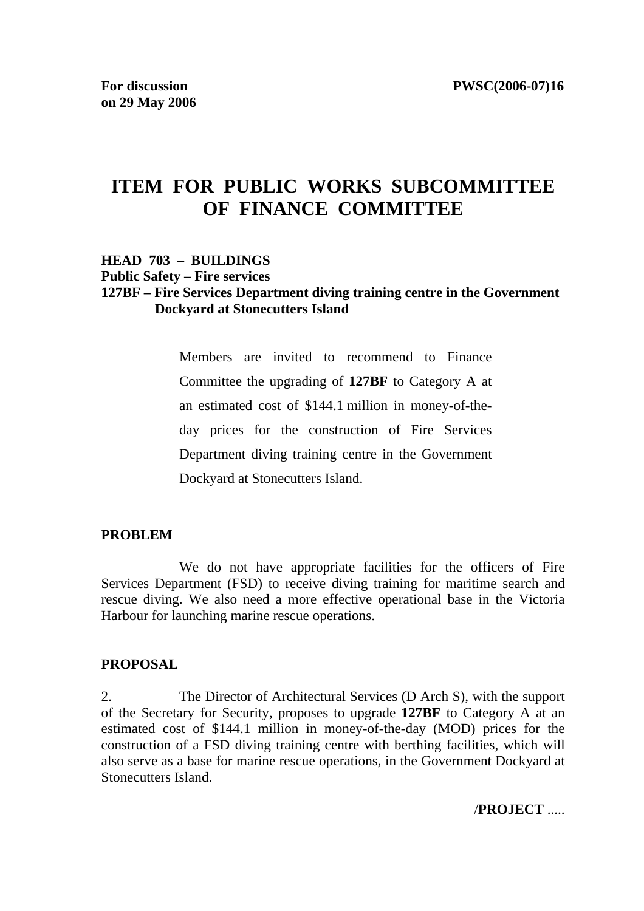# **ITEM FOR PUBLIC WORKS SUBCOMMITTEE OF FINANCE COMMITTEE**

#### **HEAD 703 – BUILDINGS**

**Public Safety – Fire services**

#### **127BF – Fire Services Department diving training centre in the Government Dockyard at Stonecutters Island**

Members are invited to recommend to Finance Committee the upgrading of **127BF** to Category A at an estimated cost of \$144.1 million in money-of-theday prices for the construction of Fire Services Department diving training centre in the Government Dockyard at Stonecutters Island.

#### **PROBLEM**

 We do not have appropriate facilities for the officers of Fire Services Department (FSD) to receive diving training for maritime search and rescue diving. We also need a more effective operational base in the Victoria Harbour for launching marine rescue operations.

#### **PROPOSAL**

2. The Director of Architectural Services (D Arch S), with the support of the Secretary for Security, proposes to upgrade **127BF** to Category A at an estimated cost of \$144.1 million in money-of-the-day (MOD) prices for the construction of a FSD diving training centre with berthing facilities, which will also serve as a base for marine rescue operations, in the Government Dockyard at Stonecutters Island.

/**PROJECT** .....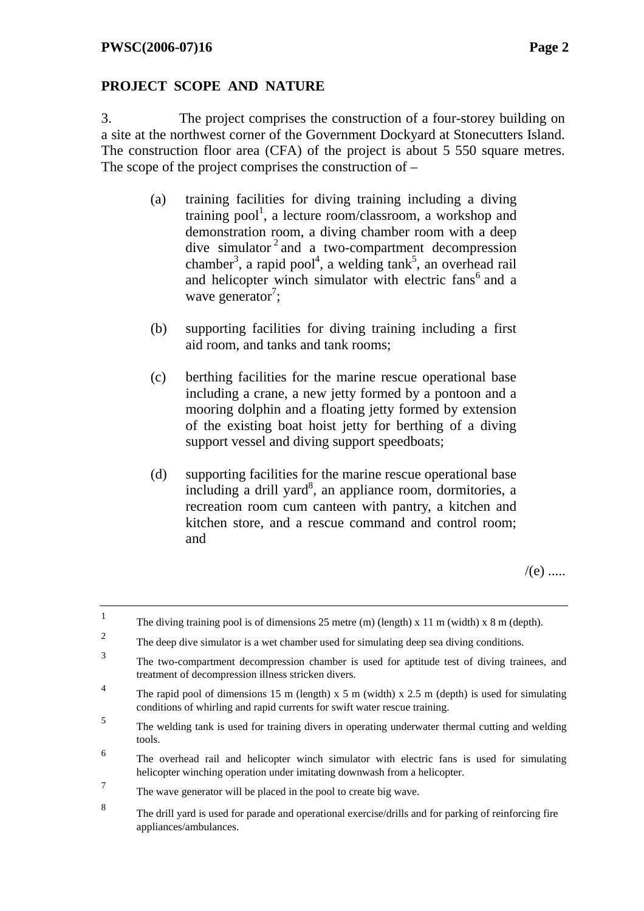1

appliances/ambulances.

## **PROJECT SCOPE AND NATURE**

3. The project comprises the construction of a four-storey building on a site at the northwest corner of the Government Dockyard at Stonecutters Island. The construction floor area (CFA) of the project is about 5 550 square metres. The scope of the project comprises the construction of –

- (a) training facilities for diving training including a diving training pool<sup>1</sup>, a lecture room/classroom, a workshop and demonstration room, a diving chamber room with a deep dive simulator  $2$  and a two-compartment decompression chamber<sup>3</sup>, a rapid pool<sup>4</sup>, a welding tank<sup>5</sup>, an overhead rail and helicopter winch simulator with electric fans<sup>6</sup> and a wave generator<sup>7</sup>;
- (b) supporting facilities for diving training including a first aid room, and tanks and tank rooms;
- (c) berthing facilities for the marine rescue operational base including a crane, a new jetty formed by a pontoon and a mooring dolphin and a floating jetty formed by extension of the existing boat hoist jetty for berthing of a diving support vessel and diving support speedboats;
- (d) supporting facilities for the marine rescue operational base  $including$  a drill yard<sup>8</sup>, an appliance room, dormitories, a recreation room cum canteen with pantry, a kitchen and kitchen store, and a rescue command and control room; and

 $/(e)$  .....

The diving training pool is of dimensions 25 metre (m) (length)  $x$  11 m (width)  $x$  8 m (depth). 2 The deep dive simulator is a wet chamber used for simulating deep sea diving conditions. <sup>3</sup> The two-compartment decompression chamber is used for aptitude test of diving trainees, and treatment of decompression illness stricken divers. 4 The rapid pool of dimensions 15 m (length) x 5 m (width) x 2.5 m (depth) is used for simulating conditions of whirling and rapid currents for swift water rescue training. 5 The welding tank is used for training divers in operating underwater thermal cutting and welding tools. 6 The overhead rail and helicopter winch simulator with electric fans is used for simulating helicopter winching operation under imitating downwash from a helicopter. 7 The wave generator will be placed in the pool to create big wave. 8 The drill yard is used for parade and operational exercise/drills and for parking of reinforcing fire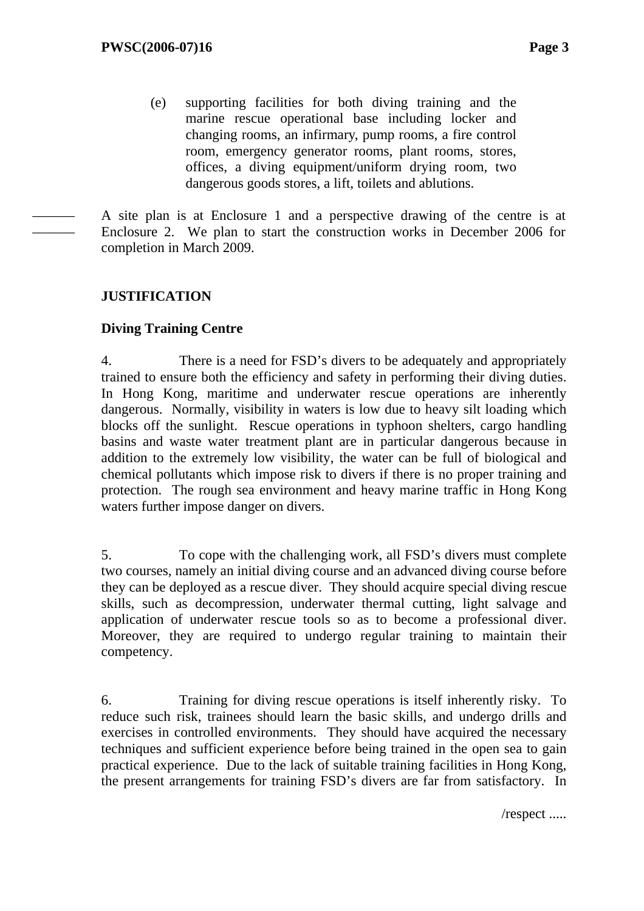(e) supporting facilities for both diving training and the marine rescue operational base including locker and changing rooms, an infirmary, pump rooms, a fire control room, emergency generator rooms, plant rooms, stores, offices, a diving equipment/uniform drying room, two dangerous goods stores, a lift, toilets and ablutions.

A site plan is at Enclosure 1 and a perspective drawing of the centre is at Enclosure 2. We plan to start the construction works in December 2006 for completion in March 2009.

## **JUSTIFICATION**

——— ———

### **Diving Training Centre**

4. There is a need for FSD's divers to be adequately and appropriately trained to ensure both the efficiency and safety in performing their diving duties. In Hong Kong, maritime and underwater rescue operations are inherently dangerous. Normally, visibility in waters is low due to heavy silt loading which blocks off the sunlight. Rescue operations in typhoon shelters, cargo handling basins and waste water treatment plant are in particular dangerous because in addition to the extremely low visibility, the water can be full of biological and chemical pollutants which impose risk to divers if there is no proper training and protection. The rough sea environment and heavy marine traffic in Hong Kong waters further impose danger on divers.

5. To cope with the challenging work, all FSD's divers must complete two courses, namely an initial diving course and an advanced diving course before they can be deployed as a rescue diver. They should acquire special diving rescue skills, such as decompression, underwater thermal cutting, light salvage and application of underwater rescue tools so as to become a professional diver. Moreover, they are required to undergo regular training to maintain their competency.

6. Training for diving rescue operations is itself inherently risky. To reduce such risk, trainees should learn the basic skills, and undergo drills and exercises in controlled environments. They should have acquired the necessary techniques and sufficient experience before being trained in the open sea to gain practical experience. Due to the lack of suitable training facilities in Hong Kong, the present arrangements for training FSD's divers are far from satisfactory. In

/respect .....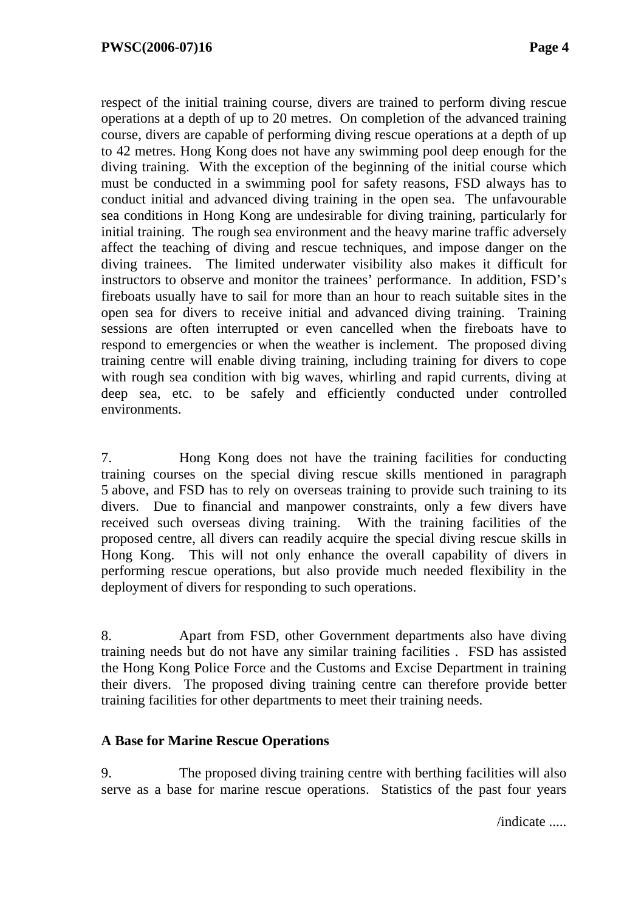respect of the initial training course, divers are trained to perform diving rescue operations at a depth of up to 20 metres. On completion of the advanced training course, divers are capable of performing diving rescue operations at a depth of up to 42 metres. Hong Kong does not have any swimming pool deep enough for the diving training. With the exception of the beginning of the initial course which must be conducted in a swimming pool for safety reasons, FSD always has to conduct initial and advanced diving training in the open sea. The unfavourable sea conditions in Hong Kong are undesirable for diving training, particularly for initial training. The rough sea environment and the heavy marine traffic adversely affect the teaching of diving and rescue techniques, and impose danger on the diving trainees. The limited underwater visibility also makes it difficult for instructors to observe and monitor the trainees' performance. In addition, FSD's fireboats usually have to sail for more than an hour to reach suitable sites in the open sea for divers to receive initial and advanced diving training. Training sessions are often interrupted or even cancelled when the fireboats have to respond to emergencies or when the weather is inclement. The proposed diving training centre will enable diving training, including training for divers to cope with rough sea condition with big waves, whirling and rapid currents, diving at deep sea, etc. to be safely and efficiently conducted under controlled environments.

7. Hong Kong does not have the training facilities for conducting training courses on the special diving rescue skills mentioned in paragraph 5 above, and FSD has to rely on overseas training to provide such training to its divers. Due to financial and manpower constraints, only a few divers have received such overseas diving training. With the training facilities of the proposed centre, all divers can readily acquire the special diving rescue skills in Hong Kong. This will not only enhance the overall capability of divers in performing rescue operations, but also provide much needed flexibility in the deployment of divers for responding to such operations.

8. Apart from FSD, other Government departments also have diving training needs but do not have any similar training facilities . FSD has assisted the Hong Kong Police Force and the Customs and Excise Department in training their divers. The proposed diving training centre can therefore provide better training facilities for other departments to meet their training needs.

## **A Base for Marine Rescue Operations**

9. The proposed diving training centre with berthing facilities will also serve as a base for marine rescue operations. Statistics of the past four years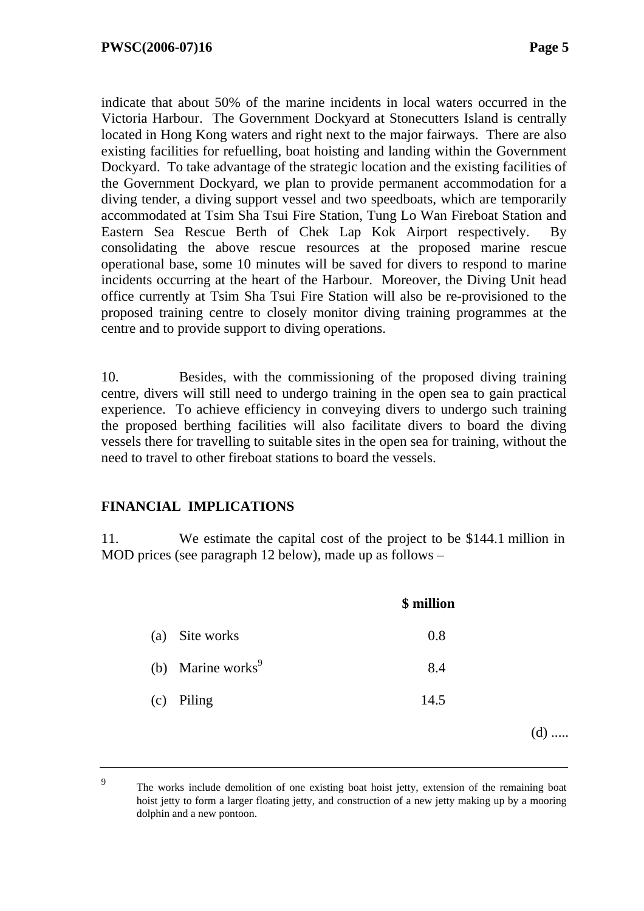(d) .....

indicate that about 50% of the marine incidents in local waters occurred in the Victoria Harbour. The Government Dockyard at Stonecutters Island is centrally located in Hong Kong waters and right next to the major fairways. There are also existing facilities for refuelling, boat hoisting and landing within the Government Dockyard. To take advantage of the strategic location and the existing facilities of the Government Dockyard, we plan to provide permanent accommodation for a diving tender, a diving support vessel and two speedboats, which are temporarily accommodated at Tsim Sha Tsui Fire Station, Tung Lo Wan Fireboat Station and Eastern Sea Rescue Berth of Chek Lap Kok Airport respectively. By consolidating the above rescue resources at the proposed marine rescue operational base, some 10 minutes will be saved for divers to respond to marine incidents occurring at the heart of the Harbour. Moreover, the Diving Unit head office currently at Tsim Sha Tsui Fire Station will also be re-provisioned to the proposed training centre to closely monitor diving training programmes at the centre and to provide support to diving operations.

10. Besides, with the commissioning of the proposed diving training centre, divers will still need to undergo training in the open sea to gain practical experience. To achieve efficiency in conveying divers to undergo such training the proposed berthing facilities will also facilitate divers to board the diving vessels there for travelling to suitable sites in the open sea for training, without the need to travel to other fireboat stations to board the vessels.

### **FINANCIAL IMPLICATIONS**

11. We estimate the capital cost of the project to be \$144.1 million in MOD prices (see paragraph 12 below), made up as follows –

|                               | \$ million |     |
|-------------------------------|------------|-----|
| Site works<br>(a)             | 0.8        |     |
| (b) Marine works <sup>9</sup> | 8.4        |     |
| Piling<br>(c)                 | 14.5       |     |
|                               |            | (d) |

<sup>&</sup>lt;sup>9</sup> The works include demolition of one existing boat hoist jetty, extension of the remaining boat hoist jetty to form a larger floating jetty, and construction of a new jetty making up by a mooring dolphin and a new pontoon.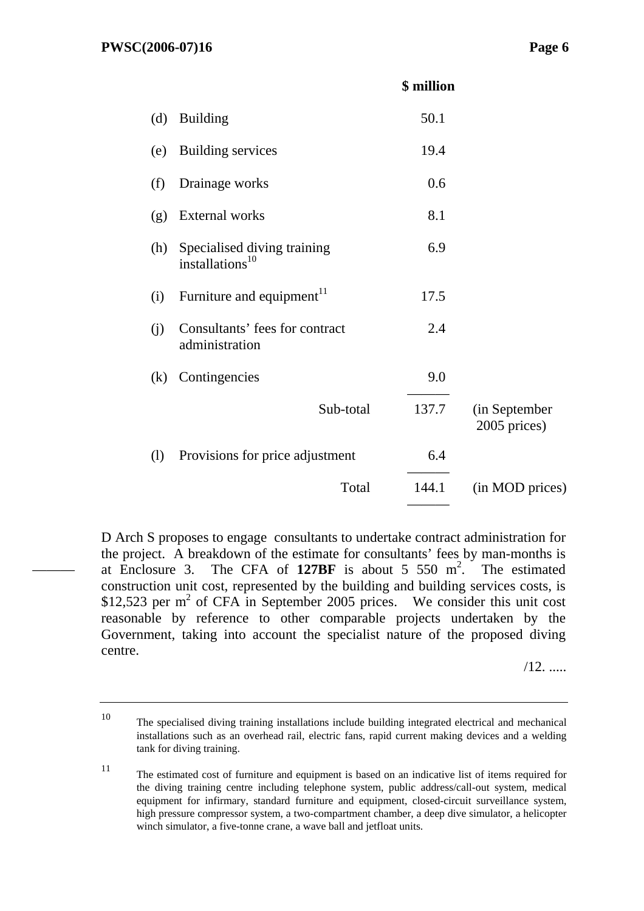———

#### **\$ million**

| (d) | <b>Building</b>                                            | 50.1  |                               |
|-----|------------------------------------------------------------|-------|-------------------------------|
| (e) | <b>Building services</b>                                   | 19.4  |                               |
| (f) | Drainage works                                             | 0.6   |                               |
| (g) | <b>External works</b>                                      | 8.1   |                               |
| (h) | Specialised diving training<br>installations <sup>10</sup> | 6.9   |                               |
| (i) | Furniture and equipment <sup>11</sup>                      | 17.5  |                               |
| (j) | Consultants' fees for contract<br>administration           | 2.4   |                               |
| (k) | Contingencies                                              | 9.0   |                               |
|     | Sub-total                                                  | 137.7 | (in September<br>2005 prices) |
| (1) | Provisions for price adjustment                            | 6.4   |                               |
|     | Total                                                      | 144.1 | (in MOD prices)               |
|     |                                                            |       |                               |

D Arch S proposes to engage consultants to undertake contract administration for the project. A breakdown of the estimate for consultants' fees by man-months is at Enclosure 3. The CFA of  $127BF$  is about 5 550 m<sup>2</sup>. The estimated construction unit cost, represented by the building and building services costs, is \$12,523 per  $m^2$  of CFA in September 2005 prices. We consider this unit cost reasonable by reference to other comparable projects undertaken by the Government, taking into account the specialist nature of the proposed diving centre.

/12. .....

<sup>10</sup> The specialised diving training installations include building integrated electrical and mechanical installations such as an overhead rail, electric fans, rapid current making devices and a welding tank for diving training.

<sup>11</sup> The estimated cost of furniture and equipment is based on an indicative list of items required for the diving training centre including telephone system, public address/call-out system, medical equipment for infirmary, standard furniture and equipment, closed-circuit surveillance system, high pressure compressor system, a two-compartment chamber, a deep dive simulator, a helicopter winch simulator, a five-tonne crane, a wave ball and jetfloat units.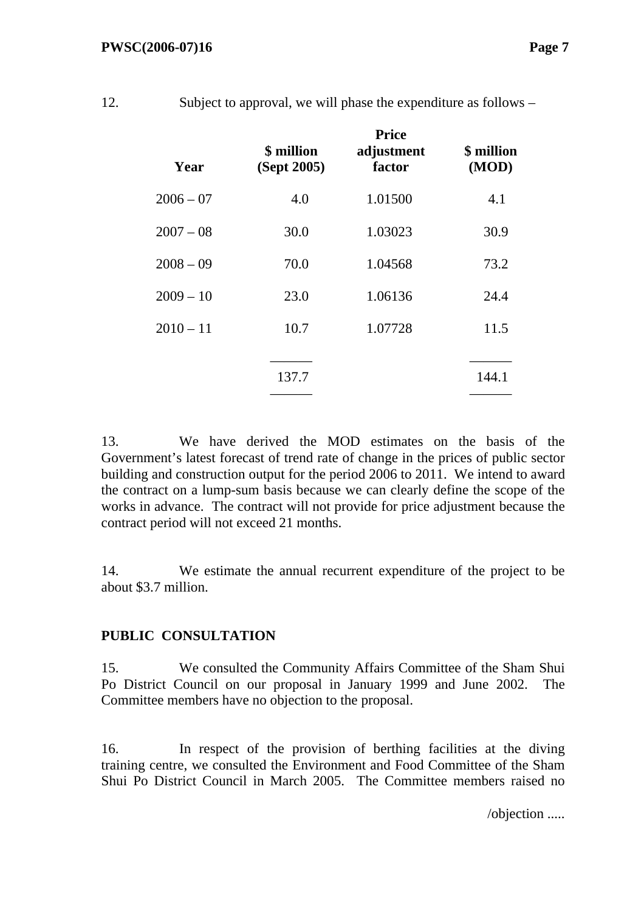| Year        | \$ million<br>(Sept 2005) | <b>Price</b><br>adjustment<br>factor | \$ million<br>(MOD) |
|-------------|---------------------------|--------------------------------------|---------------------|
| $2006 - 07$ | 4.0                       | 1.01500                              | 4.1                 |
| $2007 - 08$ | 30.0                      | 1.03023                              | 30.9                |
| $2008 - 09$ | 70.0                      | 1.04568                              | 73.2                |
| $2009 - 10$ | 23.0                      | 1.06136                              | 24.4                |
| $2010 - 11$ | 10.7                      | 1.07728                              | 11.5                |
|             | 137.7                     |                                      | 144.1               |

12. Subject to approval, we will phase the expenditure as follows –

13. We have derived the MOD estimates on the basis of the Government's latest forecast of trend rate of change in the prices of public sector building and construction output for the period 2006 to 2011. We intend to award the contract on a lump-sum basis because we can clearly define the scope of the works in advance. The contract will not provide for price adjustment because the contract period will not exceed 21 months.

14. We estimate the annual recurrent expenditure of the project to be about \$3.7 million.

## **PUBLIC CONSULTATION**

15. We consulted the Community Affairs Committee of the Sham Shui Po District Council on our proposal in January 1999 and June 2002. The Committee members have no objection to the proposal.

16. In respect of the provision of berthing facilities at the diving training centre, we consulted the Environment and Food Committee of the Sham Shui Po District Council in March 2005. The Committee members raised no

/objection .....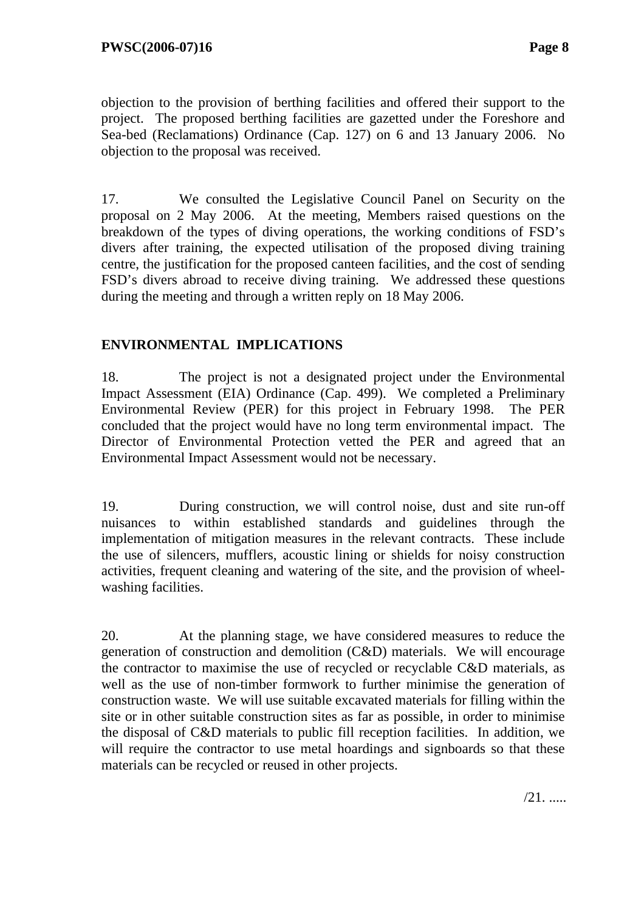objection to the provision of berthing facilities and offered their support to the project. The proposed berthing facilities are gazetted under the Foreshore and Sea-bed (Reclamations) Ordinance (Cap. 127) on 6 and 13 January 2006. No objection to the proposal was received.

17. We consulted the Legislative Council Panel on Security on the proposal on 2 May 2006. At the meeting, Members raised questions on the breakdown of the types of diving operations, the working conditions of FSD's divers after training, the expected utilisation of the proposed diving training centre, the justification for the proposed canteen facilities, and the cost of sending FSD's divers abroad to receive diving training. We addressed these questions during the meeting and through a written reply on 18 May 2006.

## **ENVIRONMENTAL IMPLICATIONS**

18. The project is not a designated project under the Environmental Impact Assessment (EIA) Ordinance (Cap. 499). We completed a Preliminary Environmental Review (PER) for this project in February 1998. The PER concluded that the project would have no long term environmental impact. The Director of Environmental Protection vetted the PER and agreed that an Environmental Impact Assessment would not be necessary.

19. During construction, we will control noise, dust and site run-off nuisances to within established standards and guidelines through the implementation of mitigation measures in the relevant contracts. These include the use of silencers, mufflers, acoustic lining or shields for noisy construction activities, frequent cleaning and watering of the site, and the provision of wheelwashing facilities.

20. At the planning stage, we have considered measures to reduce the generation of construction and demolition (C&D) materials. We will encourage the contractor to maximise the use of recycled or recyclable C&D materials, as well as the use of non-timber formwork to further minimise the generation of construction waste. We will use suitable excavated materials for filling within the site or in other suitable construction sites as far as possible, in order to minimise the disposal of C&D materials to public fill reception facilities. In addition, we will require the contractor to use metal hoardings and signboards so that these materials can be recycled or reused in other projects.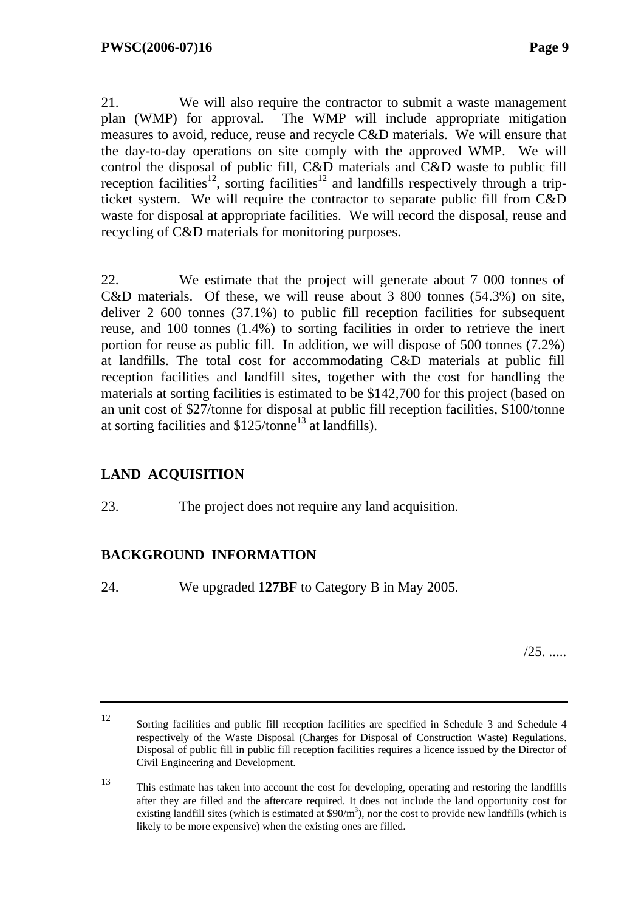21. We will also require the contractor to submit a waste management plan (WMP) for approval. The WMP will include appropriate mitigation measures to avoid, reduce, reuse and recycle C&D materials. We will ensure that the day-to-day operations on site comply with the approved WMP. We will control the disposal of public fill, C&D materials and C&D waste to public fill reception facilities<sup>12</sup>, sorting facilities<sup>12</sup> and landfills respectively through a tripticket system. We will require the contractor to separate public fill from C&D waste for disposal at appropriate facilities. We will record the disposal, reuse and recycling of C&D materials for monitoring purposes.

22. We estimate that the project will generate about 7 000 tonnes of C&D materials. Of these, we will reuse about 3 800 tonnes (54.3%) on site, deliver 2 600 tonnes (37.1%) to public fill reception facilities for subsequent reuse, and 100 tonnes (1.4%) to sorting facilities in order to retrieve the inert portion for reuse as public fill. In addition, we will dispose of 500 tonnes (7.2%) at landfills. The total cost for accommodating C&D materials at public fill reception facilities and landfill sites, together with the cost for handling the materials at sorting facilities is estimated to be \$142,700 for this project (based on an unit cost of \$27/tonne for disposal at public fill reception facilities, \$100/tonne at sorting facilities and \$125/tonne13 at landfills).

## **LAND ACQUISITION**

23. The project does not require any land acquisition.

## **BACKGROUND INFORMATION**

24. We upgraded **127BF** to Category B in May 2005*.* 

/25. .....

<sup>12</sup> Sorting facilities and public fill reception facilities are specified in Schedule 3 and Schedule 4 respectively of the Waste Disposal (Charges for Disposal of Construction Waste) Regulations. Disposal of public fill in public fill reception facilities requires a licence issued by the Director of Civil Engineering and Development.

<sup>13</sup> This estimate has taken into account the cost for developing, operating and restoring the landfills after they are filled and the aftercare required. It does not include the land opportunity cost for existing landfill sites (which is estimated at  $$90/m^3$ ), nor the cost to provide new landfills (which is likely to be more expensive) when the existing ones are filled.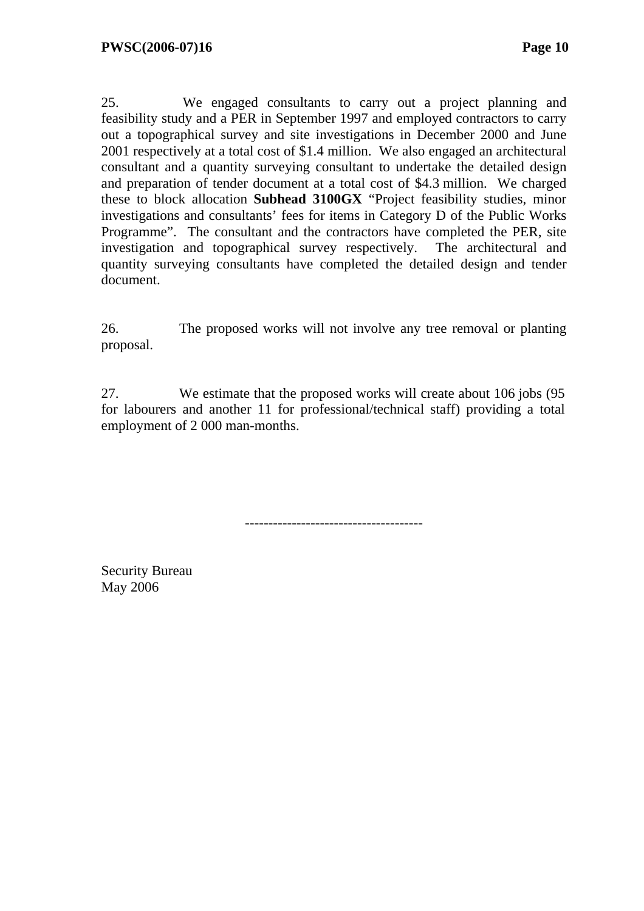25. We engaged consultants to carry out a project planning and feasibility study and a PER in September 1997 and employed contractors to carry out a topographical survey and site investigations in December 2000 and June 2001 respectively at a total cost of \$1.4 million. We also engaged an architectural consultant and a quantity surveying consultant to undertake the detailed design and preparation of tender document at a total cost of \$4.3 million. We charged these to block allocation **Subhead 3100GX** "Project feasibility studies, minor investigations and consultants' fees for items in Category D of the Public Works Programme". The consultant and the contractors have completed the PER, site investigation and topographical survey respectively. The architectural and quantity surveying consultants have completed the detailed design and tender document.

26. The proposed works will not involve any tree removal or planting proposal.

27. We estimate that the proposed works will create about 106 jobs (95 for labourers and another 11 for professional/technical staff) providing a total employment of 2 000 man-months.

--------------------------------------

Security Bureau May 2006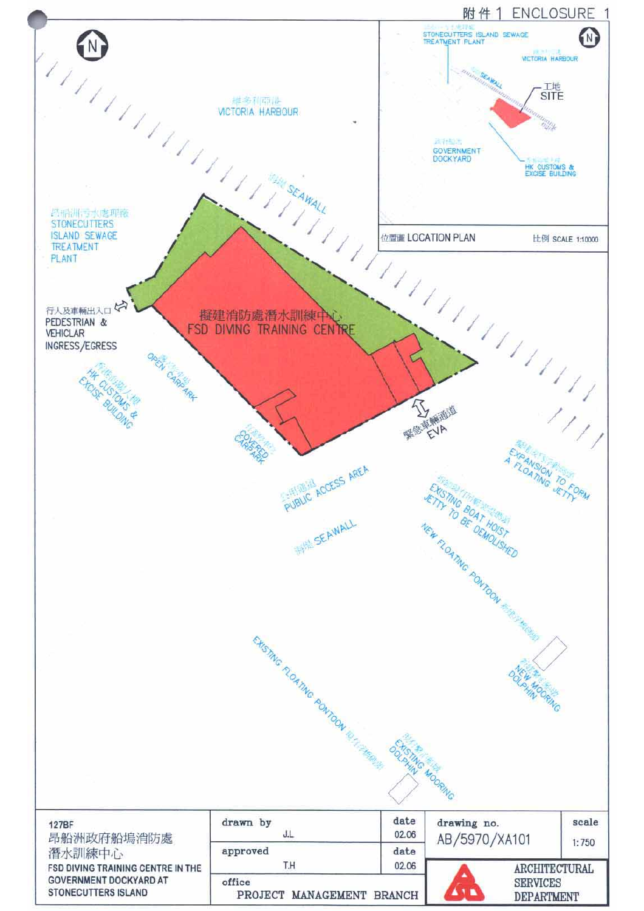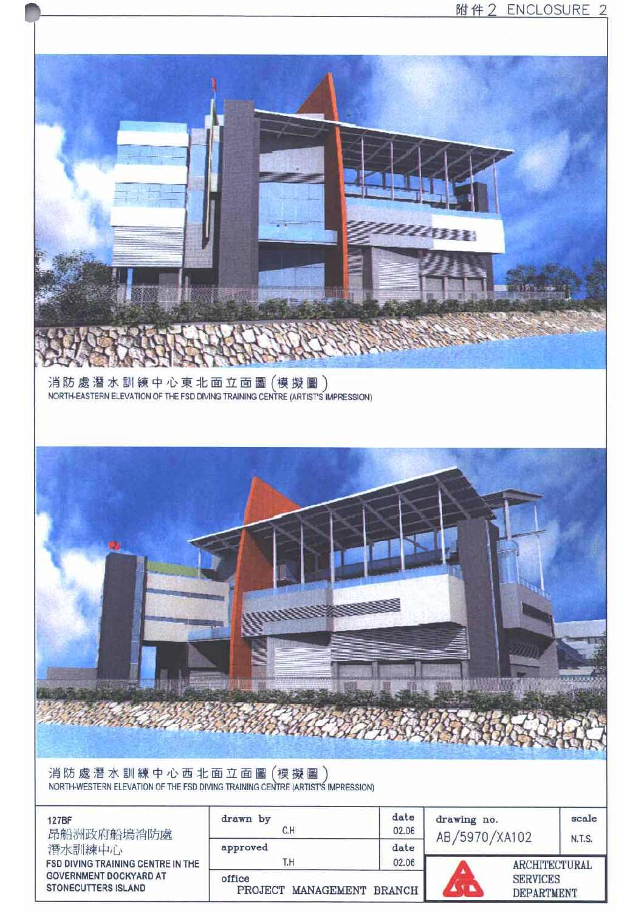

PROJECT MANAGEMENT BRANCH

**STONECUTTERS ISLAND** 

**SERVICES DEPARTMENT**